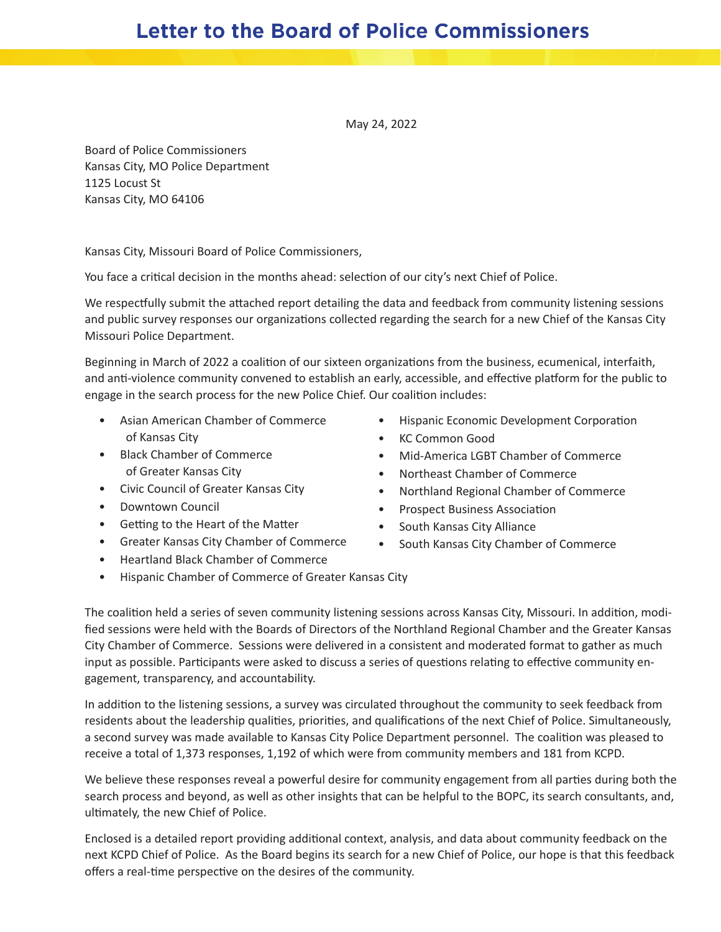## **Letter to the Board of Police Commissioners**

May 24, 2022

Board of Police Commissioners Kansas City, MO Police Department 1125 Locust St Kansas City, MO 64106

Kansas City, Missouri Board of Police Commissioners,

You face a critical decision in the months ahead: selection of our city's next Chief of Police.

We respectfully submit the attached report detailing the data and feedback from community listening sessions and public survey responses our organizations collected regarding the search for a new Chief of the Kansas City Missouri Police Department.

Beginning in March of 2022 a coalition of our sixteen organizations from the business, ecumenical, interfaith, and anti-violence community convened to establish an early, accessible, and effective platform for the public to engage in the search process for the new Police Chief. Our coalition includes:

- Asian American Chamber of Commerce of Kansas City
- Black Chamber of Commerce of Greater Kansas City
- Civic Council of Greater Kansas City
- Downtown Council
- Getting to the Heart of the Matter
- Greater Kansas City Chamber of Commerce
- Heartland Black Chamber of Commerce
- Hispanic Chamber of Commerce of Greater Kansas City
- Hispanic Economic Development Corporation
- KC Common Good
- Mid-America LGBT Chamber of Commerce
- Northeast Chamber of Commerce
- Northland Regional Chamber of Commerce
- Prospect Business Association
- South Kansas City Alliance
- South Kansas City Chamber of Commerce

The coalition held a series of seven community listening sessions across Kansas City, Missouri. In addition, modified sessions were held with the Boards of Directors of the Northland Regional Chamber and the Greater Kansas City Chamber of Commerce. Sessions were delivered in a consistent and moderated format to gather as much input as possible. Participants were asked to discuss a series of questions relating to effective community engagement, transparency, and accountability.

In addition to the listening sessions, a survey was circulated throughout the community to seek feedback from residents about the leadership qualities, priorities, and qualifications of the next Chief of Police. Simultaneously, a second survey was made available to Kansas City Police Department personnel. The coalition was pleased to receive a total of 1,373 responses, 1,192 of which were from community members and 181 from KCPD.

We believe these responses reveal a powerful desire for community engagement from all parties during both the search process and beyond, as well as other insights that can be helpful to the BOPC, its search consultants, and, ultimately, the new Chief of Police.

Enclosed is a detailed report providing additional context, analysis, and data about community feedback on the next KCPD Chief of Police. As the Board begins its search for a new Chief of Police, our hope is that this feedback offers a real-time perspective on the desires of the community.